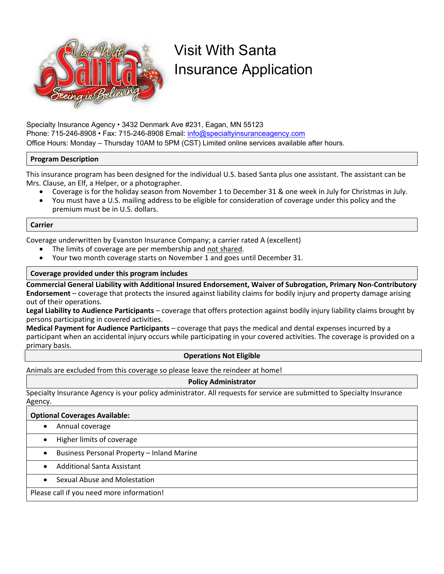

# Visit With Santa Insurance Application

Specialty Insurance Agency • 3432 Denmark Ave #231, Eagan, MN 55123 Phone: 715-246-8908 • Fax: 715-246-8908 Email: info@specialtyinsuranceagency.com Office Hours: Monday – Thursday 10AM to 5PM (CST) Limited online services available after hours.

## **Program Description**

This insurance program has been designed for the individual U.S. based Santa plus one assistant. The assistant can be Mrs. Clause, an Elf, a Helper, or a photographer.

- Coverage is for the holiday season from November 1 to December 31 & one week in July for Christmas in July.
- You must have a U.S. mailing address to be eligible for consideration of coverage under this policy and the premium must be in U.S. dollars.

## **Carrier**

Coverage underwritten by Evanston Insurance Company; a carrier rated A (excellent)

- The limits of coverage are per membership and not shared.
- Your two month coverage starts on November 1 and goes until December 31.

## **Coverage provided under this program includes**

**Commercial General Liability with Additional Insured Endorsement, Waiver of Subrogation, Primary Non-Contributory Endorsement** – coverage that protects the insured against liability claims for bodily injury and property damage arising out of their operations.

**Legal Liability to Audience Participants** – coverage that offers protection against bodily injury liability claims brought by persons participating in covered activities.

**Medical Payment for Audience Participants** – coverage that pays the medical and dental expenses incurred by a participant when an accidental injury occurs while participating in your covered activities. The coverage is provided on a primary basis.

## **Operations Not Eligible**

Animals are excluded from this coverage so please leave the reindeer at home!

## **Policy Administrator**

Specialty Insurance Agency is your policy administrator. All requests for service are submitted to Specialty Insurance Agency.

## **Optional Coverages Available:**

- Annual coverage
- Higher limits of coverage
- Business Personal Property Inland Marine
- Additional Santa Assistant
- Sexual Abuse and Molestation

Please call if you need more information!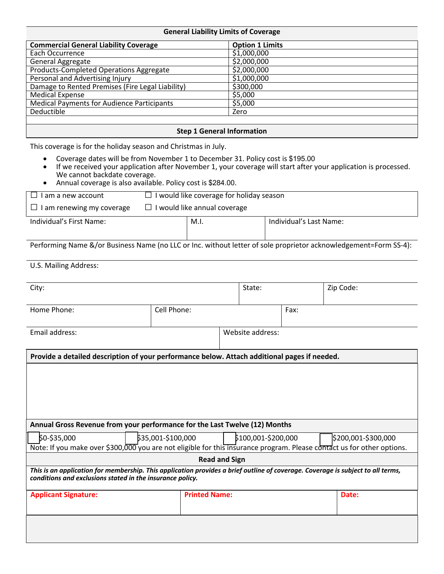| <b>General Liability Limits of Coverage</b>       |                        |  |
|---------------------------------------------------|------------------------|--|
| <b>Commercial General Liability Coverage</b>      | <b>Option 1 Limits</b> |  |
| Each Occurrence                                   | \$1,000,000            |  |
| General Aggregate                                 | \$2,000,000            |  |
| <b>Products-Completed Operations Aggregate</b>    | \$2,000,000            |  |
| Personal and Advertising Injury                   | \$1,000,000            |  |
| Damage to Rented Premises (Fire Legal Liability)  | \$300,000              |  |
| <b>Medical Expense</b>                            | \$5,000                |  |
| <b>Medical Payments for Audience Participants</b> | \$5,000                |  |
| Deductible                                        | Zero                   |  |
|                                                   |                        |  |
| <b>Step 1 General Information</b>                 |                        |  |

This coverage is for the holiday season and Christmas in July.

- Coverage dates will be from November 1 to December 31. Policy cost is \$195.00
- If we received your application after November 1, your coverage will start after your application is processed. We cannot backdate coverage.
- Annual coverage is also available. Policy cost is \$284.00.

| I am a new account               | I would like coverage for holiday season |      |                         |
|----------------------------------|------------------------------------------|------|-------------------------|
| $\Box$ I am renewing my coverage | $\Box$ I would like annual coverage      |      |                         |
| Individual's First Name:         |                                          | M.I. | Individual's Last Name: |
|                                  |                                          |      |                         |

Performing Name &/or Business Name (no LLC or Inc. without letter of sole proprietor acknowledgement=Form SS-4):

U.S. Mailing Address:

| City:                                                                                                                                                                                        |                      | State:              |      | Zip Code:           |
|----------------------------------------------------------------------------------------------------------------------------------------------------------------------------------------------|----------------------|---------------------|------|---------------------|
| Home Phone:                                                                                                                                                                                  | Cell Phone:          |                     | Fax: |                     |
| Email address:                                                                                                                                                                               |                      | Website address:    |      |                     |
| Provide a detailed description of your performance below. Attach additional pages if needed.                                                                                                 |                      |                     |      |                     |
|                                                                                                                                                                                              |                      |                     |      |                     |
| Annual Gross Revenue from your performance for the Last Twelve (12) Months                                                                                                                   |                      |                     |      |                     |
| \$0-\$35,000<br>Note: If you make over \$300,000 you are not eligible for this insurance program. Please contact us for other options.                                                       | \$35,001-\$100,000   | \$100,001-\$200,000 |      | \$200,001-\$300,000 |
|                                                                                                                                                                                              | <b>Read and Sign</b> |                     |      |                     |
| This is an application for membership. This application provides a brief outline of coverage. Coverage is subject to all terms,<br>conditions and exclusions stated in the insurance policy. |                      |                     |      |                     |
| <b>Applicant Signature:</b>                                                                                                                                                                  | <b>Printed Name:</b> |                     |      | Date:               |
|                                                                                                                                                                                              |                      |                     |      |                     |